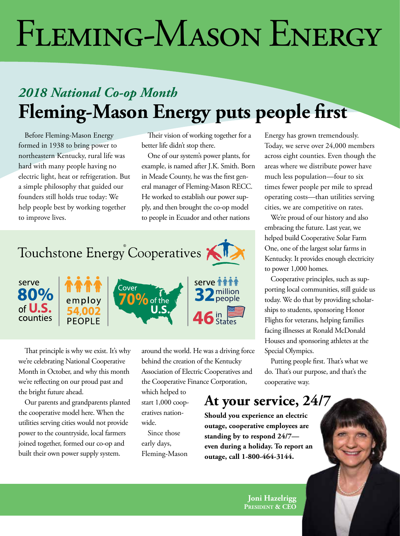# *cooperative news* FLEMING-MASON ENERGY

## *2018 National Co-op Month*  **Fleming-Mason Energy puts people first**

Before Fleming-Mason Energy formed in 1938 to bring power to northeastern Kentucky, rural life was hard with many people having no electric light, heat or refrigeration. But a simple philosophy that guided our founders still holds true today: We help people best by working together to improve lives.

Their vision of working together for a better life didn't stop there.

One of our system's power plants, for example, is named after J.K. Smith. Born in Meade County, he was the first general manager of Fleming-Mason RECC. He worked to establish our power supply, and then brought the co-op model to people in Ecuador and other nations





That principle is why we exist. It's why we're celebrating National Cooperative Month in October, and why this month we're reflecting on our proud past and the bright future ahead.

Our parents and grandparents planted the cooperative model here. When the utilities serving cities would not provide power to the countryside, local farmers joined together, formed our co-op and built their own power supply system.

around the world. He was a driving force behind the creation of the Kentucky Association of Electric Cooperatives and the Cooperative Finance Corporation,

serve **11** 

**32** million

 $46$  in  $\bullet$ 

which helped to start 1,000 cooperatives nationwide.

Since those early days, Fleming-Mason Energy has grown tremendously. Today, we serve over 24,000 members across eight counties. Even though the areas where we distribute power have much less population—four to six times fewer people per mile to spread operating costs—than utilities serving cities, we are competitive on rates.

We're proud of our history and also embracing the future. Last year, we helped build Cooperative Solar Farm One, one of the largest solar farms in Kentucky. It provides enough electricity to power 1,000 homes.

Cooperative principles, such as supporting local communities, still guide us today. We do that by providing scholarships to students, sponsoring Honor Flights for veterans, helping families facing illnesses at Ronald McDonald Houses and sponsoring athletes at the Special Olympics.

Putting people first. That's what we do. That's our purpose, and that's the cooperative way.

### **At your service, 24/7**

**Should you experience an electric outage, cooperative employees are standing by to respond 24/7 even during a holiday. To report an outage, call 1-800-464-3144.**

> **Joni Hazelrigg President & CEO**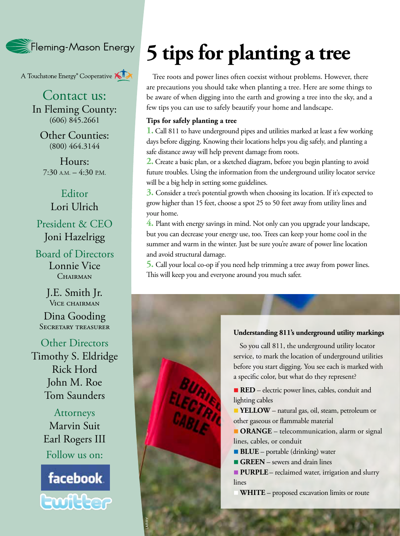Fleming-Mason Energy

A Touchstone Energy<sup>®</sup> Cooperative A

Contact us: In Fleming County:  $(606)$  845.2661

Other Counties: (800) 464.3144

Hours: 7:30 A.M. – 4:30 P.M.

Editor Lori Ulrich President & CEO Joni Hazelrigg

Board of Directors Lonnie Vice CHAIRMAN

> J.E. Smith Jr. Vice chairman

Dina Gooding SECRETARY TREASURER

Other Directors Timothy S. Eldridge Rick Hord John M. Roe Tom Saunders

> Attorneys Marvin Suit Earl Rogers III Follow us on:



**28B KENTUCKY LIVING** • OCTOBER 2018

LARRY

## **5 tips for planting a tree**

Tree roots and power lines often coexist without problems. However, there are precautions you should take when planting a tree. Here are some things to be aware of when digging into the earth and growing a tree into the sky, and a few tips you can use to safely beautify your home and landscape.

#### **Tips for safely planting a tree**

BURIK

**1.** Call 811 to have underground pipes and utilities marked at least a few working days before digging. Knowing their locations helps you dig safely, and planting a safe distance away will help prevent damage from roots.

**2.** Create a basic plan, or a sketched diagram, before you begin planting to avoid future troubles. Using the information from the underground utility locator service will be a big help in setting some guidelines.

**3.** Consider a tree's potential growth when choosing its location. If it's expected to grow higher than 15 feet, choose a spot 25 to 50 feet away from utility lines and your home.

**4.** Plant with energy savings in mind. Not only can you upgrade your landscape, but you can decrease your energy use, too. Trees can keep your home cool in the summer and warm in the winter. Just be sure you're aware of power line location and avoid structural damage.

**5.** Call your local co-op if you need help trimming a tree away from power lines. This will keep you and everyone around you much safer.

#### **Understanding 811's underground utility markings**

So you call 811, the underground utility locator service, to mark the location of underground utilities before you start digging. You see each is marked with a specific color, but what do they represent?

**RED** – electric power lines, cables, conduit and lighting cables

**FINGILOW** – natural gas, oil, steam, petroleum or other gaseous or flammable material

**n** ORANGE – telecommunication, alarm or signal lines, cables, or conduit

**BLUE** – portable (drinking) water

**GREEN** – sewers and drain lines

**PURPLE** – reclaimed water, irrigation and slurry lines

**WHITE** – proposed excavation limits or route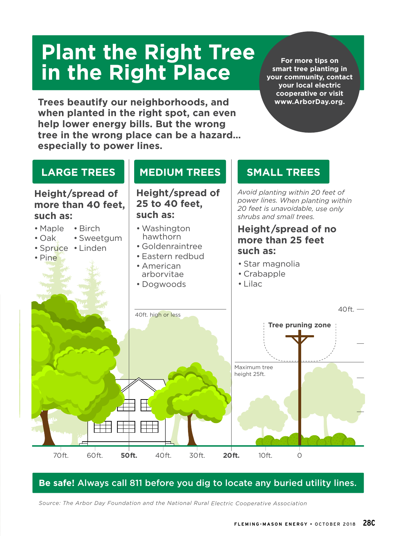## **Plant the Right Tree in the Right Place**

**Trees beautify our neighborhoods, and when planted in the right spot, can even help lower energy bills. But the wrong tree in the wrong place can be a hazard… especially to power lines.**

**For more tips on smart tree planting in your community, contact your local electric cooperative or visit www.ArborDay.org.**



### **Be safe!** Always call 811 before you dig to locate any buried utility lines.

*Source: The Arbor Day Foundation and the National Rural Electric Cooperative Association*